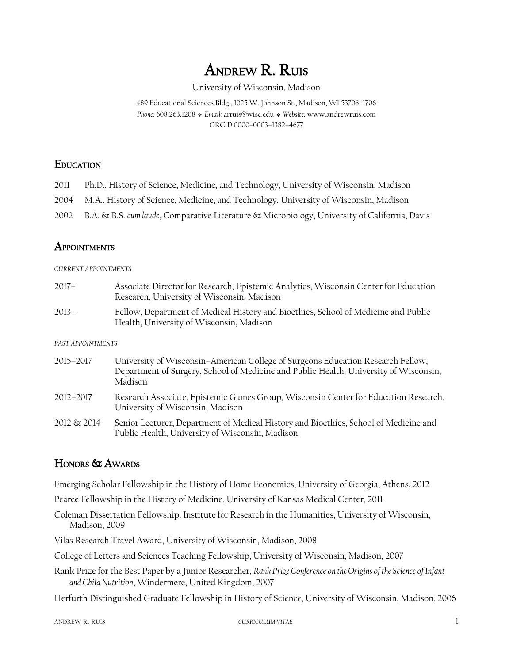# ANDREW R. RUIS

### University of Wisconsin, Madison

489 Educational Sciences Bldg., 1025 W. Johnson St., Madison, WI 53706–1706 *Phone:* 608.263.1208❖ *Email:* arruis@wisc.edu❖ *Website:* www.andrewruis.com ORCiD 0000–0003–1382–4677

### **EDUCATION**

- 2011 Ph.D., History of Science, Medicine, and Technology, University of Wisconsin, Madison
- 2004 M.A., History of Science, Medicine, and Technology, University of Wisconsin, Madison
- 2002 B.A. & B.S. *cum laude*, Comparative Literature & Microbiology, University of California, Davis

# **APPOINTMENTS**

### *CURRENT APPOINTMENTS*

2017– Associate Director for Research, Epistemic Analytics, Wisconsin Center for Education Research, University of Wisconsin, Madison 2013– Fellow, Department of Medical History and Bioethics, School of Medicine and Public Health, University of Wisconsin, Madison

### *PAST APPOINTMENTS*

2015–2017 University of Wisconsin–American College of Surgeons Education Research Fellow, Department of Surgery, School of Medicine and Public Health, University of Wisconsin, Madison 2012–2017 Research Associate, Epistemic Games Group, Wisconsin Center for Education Research, University of Wisconsin, Madison 2012 & 2014 Senior Lecturer, Department of Medical History and Bioethics, School of Medicine and Public Health, University of Wisconsin, Madison

# HONORS & AWARDS

Emerging Scholar Fellowship in the History of Home Economics, University of Georgia, Athens, 2012

Pearce Fellowship in the History of Medicine, University of Kansas Medical Center, 2011

Coleman Dissertation Fellowship, Institute for Research in the Humanities, University of Wisconsin, Madison, 2009

Vilas Research Travel Award, University of Wisconsin, Madison, 2008

College of Letters and Sciences Teaching Fellowship, University of Wisconsin, Madison, 2007

Rank Prize for the Best Paper by a Junior Researcher, *Rank Prize Conference on the Origins of the Science of Infant and Child Nutrition*, Windermere, United Kingdom, 2007

Herfurth Distinguished Graduate Fellowship in History of Science, University of Wisconsin, Madison, 2006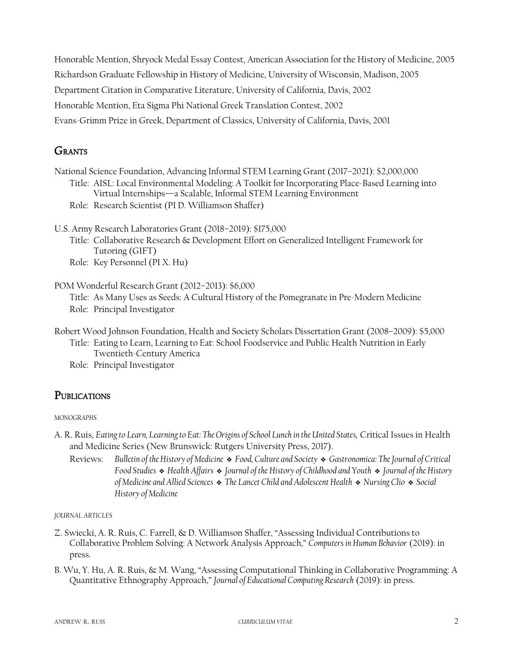Honorable Mention, Shryock Medal Essay Contest, American Association for the History of Medicine, 2005 Richardson Graduate Fellowship in History of Medicine, University of Wisconsin, Madison, 2005 Department Citation in Comparative Literature, University of California, Davis, 2002 Honorable Mention, Eta Sigma Phi National Greek Translation Contest, 2002 Evans-Grimm Prize in Greek, Department of Classics, University of California, Davis, 2001

# **GRANTS**

National Science Foundation, Advancing Informal STEM Learning Grant (2017–2021): \$2,000,000 Title: AISL: Local Environmental Modeling: A Toolkit for Incorporating Place-Based Learning into Virtual Internships—a Scalable, Informal STEM Learning Environment

- Role: Research Scientist (PI D. Williamson Shaffer)
- U.S. Army Research Laboratories Grant (2018–2019): \$175,000
	- Title: Collaborative Research & Development Effort on Generalized Intelligent Framework for Tutoring (GIFT)
	- Role: Key Personnel (PI X. Hu)

POM Wonderful Research Grant (2012–2013): \$6,000 Title: As Many Uses as Seeds: A Cultural History of the Pomegranate in Pre-Modern Medicine Role: Principal Investigator

- Robert Wood Johnson Foundation, Health and Society Scholars Dissertation Grant (2008–2009): \$5,000 Title: Eating to Learn, Learning to Eat: School Foodservice and Public Health Nutrition in Early Twentieth-Century America
	- Role: Principal Investigator

# **PUBLICATIONS**

*MONOGRAPHS*

- A. R. Ruis, *Eating to Learn, Learning to Eat: The Origins of School Lunch in the United States,* Critical Issues in Health and Medicine Series (New Brunswick: Rutgers University Press, 2017).
	- Reviews: *Bulletin of the History of Medicine* ❖ *Food, Culture and Society* ❖ *Gastronomica: The Journal of Critical Food Studies* ❖ *Health Affairs* ❖ *Journal of the History of Childhood and Youth* ❖ *Journal of the History of Medicine and Allied Sciences* ❖ *The Lancet Child and Adolescent Health* ❖ *Nursing Clio* ❖ *Social History of Medicine*

*JOURNAL ARTICLES*

- Z. Swiecki, A. R. Ruis, C. Farrell, & D. Williamson Shaffer, "Assessing Individual Contributions to Collaborative Problem Solving: A Network Analysis Approach," *Computers in Human Behavior* (2019): in press.
- B. Wu, Y. Hu, A. R. Ruis, & M. Wang, "Assessing Computational Thinking in Collaborative Programming: A Quantitative Ethnography Approach," *Journal of Educational Computing Research* (2019): in press.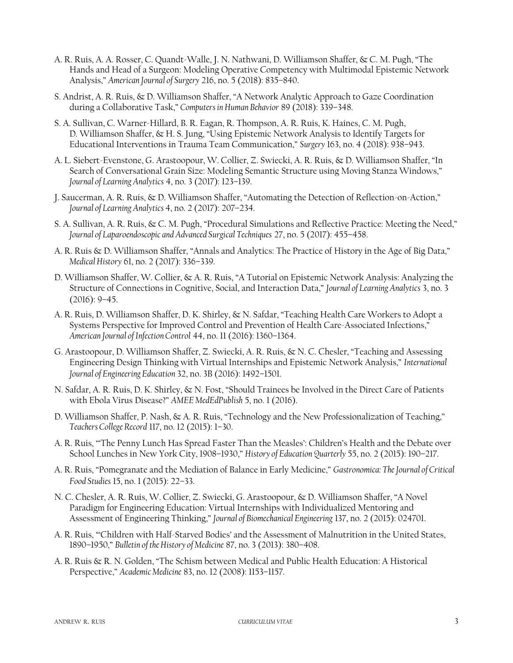- A. R. Ruis, A. A. Rosser, C. Quandt-Walle, J. N. Nathwani, D. Williamson Shaffer, & C. M. Pugh, "The Hands and Head of a Surgeon: Modeling Operative Competency with Multimodal Epistemic Network Analysis," *American Journal of Surgery* 216, no. 5 (2018): 835–840.
- S. Andrist, A. R. Ruis, & D. Williamson Shaffer, "A Network Analytic Approach to Gaze Coordination during a Collaborative Task," *Computers in Human Behavior* 89 (2018): 339–348.
- S. A. Sullivan, C. Warner-Hillard, B. R. Eagan, R. Thompson, A. R. Ruis, K. Haines, C. M. Pugh, D. Williamson Shaffer, & H. S. Jung, "Using Epistemic Network Analysis to Identify Targets for Educational Interventions in Trauma Team Communication," *Surgery* 163, no. 4 (2018): 938–943.
- A. L. Siebert-Evenstone, G. Arastoopour, W. Collier, Z. Swiecki, A. R. Ruis, & D. Williamson Shaffer, "In Search of Conversational Grain Size: Modeling Semantic Structure using Moving Stanza Windows," *Journal of Learning Analytics* 4, no. 3 (2017): 123–139.
- J. Saucerman, A. R. Ruis, & D. Williamson Shaffer, "Automating the Detection of Reflection-on-Action," *Journal of Learning Analytics* 4, no. 2 (2017): 207–234.
- S. A. Sullivan, A. R. Ruis, & C. M. Pugh, "Procedural Simulations and Reflective Practice: Meeting the Need," *Journal of Laparoendoscopic and Advanced Surgical Techniques* 27, no. 5 (2017): 455–458.
- A. R. Ruis & D. Williamson Shaffer, "Annals and Analytics: The Practice of History in the Age of Big Data," *Medical History* 61, no. 2 (2017): 336–339.
- D. Williamson Shaffer, W. Collier, & A. R. Ruis, "A Tutorial on Epistemic Network Analysis: Analyzing the Structure of Connections in Cognitive, Social, and Interaction Data," *Journal of Learning Analytics* 3, no. 3 (2016): 9–45.
- A. R. Ruis, D. Williamson Shaffer, D. K. Shirley, & N. Safdar, "Teaching Health Care Workers to Adopt a Systems Perspective for Improved Control and Prevention of Health Care-Associated Infections," *American Journal of Infection Control* 44, no. 11 (2016): 1360–1364.
- G. Arastoopour, D. Williamson Shaffer, Z. Swiecki, A. R. Ruis, & N. C. Chesler, "Teaching and Assessing Engineering Design Thinking with Virtual Internships and Epistemic Network Analysis," *International Journal of Engineering Education* 32, no. 3B (2016): 1492–1501.
- N. Safdar, A. R. Ruis, D. K. Shirley, & N. Fost, "Should Trainees be Involved in the Direct Care of Patients with Ebola Virus Disease?" *AMEE MedEdPublish* 5, no. 1 (2016).
- D. Williamson Shaffer, P. Nash, & A. R. Ruis, "Technology and the New Professionalization of Teaching," *Teachers College Record* 117, no. 12 (2015): 1–30.
- A. R. Ruis, "'The Penny Lunch Has Spread Faster Than the Measles': Children's Health and the Debate over School Lunches in New York City, 1908–1930," *History of Education Quarterly* 55, no. 2 (2015): 190–217.
- A. R. Ruis, "Pomegranate and the Mediation of Balance in Early Medicine," *Gastronomica: The Journal of Critical Food Studies* 15, no. 1 (2015): 22–33.
- N. C. Chesler, A. R. Ruis, W. Collier, Z. Swiecki, G. Arastoopour, & D. Williamson Shaffer, "A Novel Paradigm for Engineering Education: Virtual Internships with Individualized Mentoring and Assessment of Engineering Thinking," *Journal of Biomechanical Engineering* 137, no. 2 (2015): 024701.
- A. R. Ruis, "'Children with Half-Starved Bodies' and the Assessment of Malnutrition in the United States, 1890–1950," *Bulletin of the History of Medicine* 87, no. 3 (2013): 380–408.
- A. R. Ruis & R. N. Golden, "The Schism between Medical and Public Health Education: A Historical Perspective," *Academic Medicine* 83, no. 12 (2008): 1153–1157.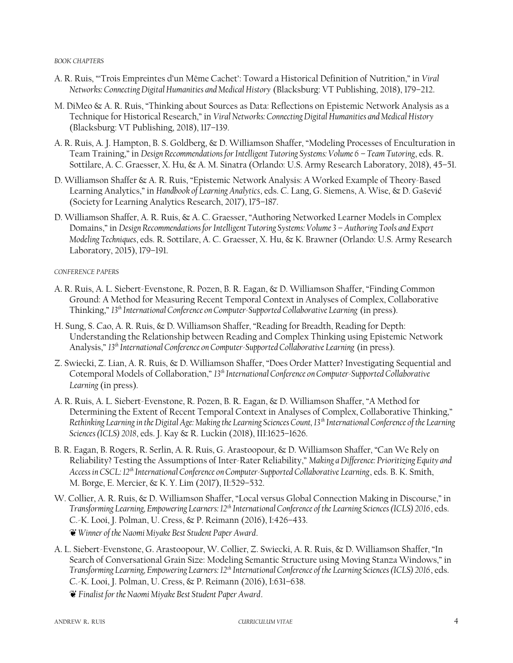#### *BOOK CHAPTERS*

- A. R. Ruis, "'Trois Empreintes d'un Même Cachet': Toward a Historical Definition of Nutrition," in *Viral Networks: Connecting Digital Humanities and Medical History* (Blacksburg: VT Publishing, 2018), 179–212.
- M. DiMeo & A. R. Ruis, "Thinking about Sources as Data: Reflections on Epistemic Network Analysis as a Technique for Historical Research," in *Viral Networks: Connecting Digital Humanities and Medical History* (Blacksburg: VT Publishing, 2018), 117–139.
- A. R. Ruis, A. J. Hampton, B. S. Goldberg, & D. Williamson Shaffer, "Modeling Processes of Enculturation in Team Training," in *Design Recommendations for Intelligent Tutoring Systems: Volume 6 – Team Tutoring*, eds. R. Sottilare, A. C. Graesser, X. Hu, & A. M. Sinatra (Orlando: U.S. Army Research Laboratory, 2018), 45–51.
- D. Williamson Shaffer & A. R. Ruis, "Epistemic Network Analysis: A Worked Example of Theory-Based Learning Analytics," in *Handbook of Learning Analytics*, eds. C. Lang, G. Siemens, A. Wise, & D. Gaševi ć (Society for Learning Analytics Research, 2017), 175–187.
- D. Williamson Shaffer, A. R. Ruis, & A. C. Graesser, "Authoring Networked Learner Models in Complex Domains," in *Design Recommendations for Intelligent Tutoring Systems: Volume 3 – Authoring Tools and Expert Modeling Techniques*, eds. R. Sottilare, A. C. Graesser, X. Hu, & K. Brawner (Orlando: U.S. Army Research Laboratory, 2015), 179–191.

### *CONFERENCE PAPERS*

- A. R. Ruis, A. L. Siebert-Evenstone, R. Pozen, B. R. Eagan, & D. Williamson Shaffer, "Finding Common Ground: A Method for Measuring Recent Temporal Context in Analyses of Complex, Collaborative Thinking," *13th International Conference on Computer-Supported Collaborative Learning* (in press).
- H. Sung, S. Cao, A. R. Ruis, & D. Williamson Shaffer, "Reading for Breadth, Reading for Depth: Understanding the Relationship between Reading and Complex Thinking using Epistemic Network Analysis," *13th International Conference on Computer-Supported Collaborative Learning* (in press).
- Z. Swiecki, Z. Lian, A. R. Ruis, & D. Williamson Shaffer, "Does Order Matter? Investigating Sequential and Cotemporal Models of Collaboration," *13th International Conference on Computer-Supported Collaborative Learning* (in press).
- A. R. Ruis, A. L. Siebert-Evenstone, R. Pozen, B. R. Eagan, & D. Williamson Shaffer, "A Method for Determining the Extent of Recent Temporal Context in Analyses of Complex, Collaborative Thinking," *Rethinking Learning in the Digital Age: Making the Learning Sciences Count, 13th International Conference of the Learning Sciences (ICLS) 2018*, eds. J. Kay & R. Luckin (2018), III:1625–1626.
- B. R. Eagan, B. Rogers, R. Serlin, A. R. Ruis, G. Arastoopour, & D. Williamson Shaffer, "Can We Rely on Reliability? Testing the Assumptions of Inter-Rater Reliability," *Making a Difference: Prioritizing Equity and Access in CSCL: 12th International Conference on Computer-Supported Collaborative Learning*, eds. B. K. Smith, M. Borge, E. Mercier, & K. Y. Lim (2017), II:529–532.
- W. Collier, A. R. Ruis, & D. Williamson Shaffer, "Local versus Global Connection Making in Discourse," in *Transforming Learning, Empowering Learners: 12th International Conference of the Learning Sciences (ICLS) 2016*, eds. C.-K. Looi, J. Polman, U. Cress, & P. Reimann (2016), I:426–433. ❦ *Winner of the Naomi Miyake Best Student Paper Award*.
- A. L. Siebert-Evenstone, G. Arastoopour, W. Collier, Z. Swiecki, A. R. Ruis, & D. Williamson Shaffer, "In Search of Conversational Grain Size: Modeling Semantic Structure using Moving Stanza Windows," in *Transforming Learning, Empowering Learners: 12th International Conference of the Learning Sciences (ICLS) 2016*, eds. C.-K. Looi, J. Polman, U. Cress, & P. Reimann (2016), I:631–638.
	- ❦ *Finalist for the Naomi Miyake Best Student Paper Award*.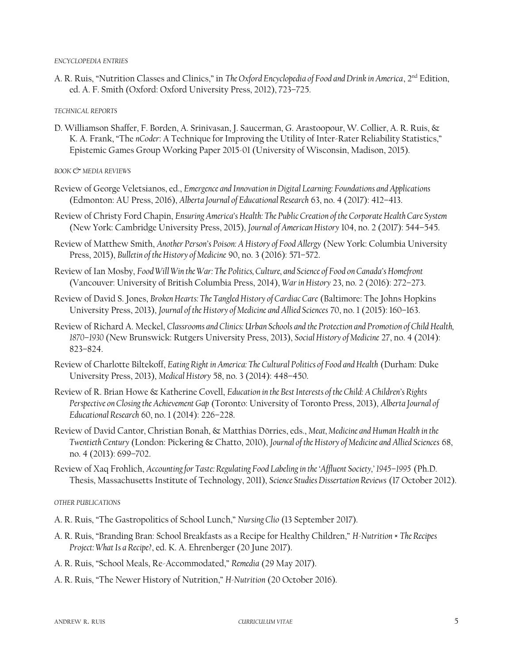#### *ENCYCLOPEDIA ENTRIES*

A. R. Ruis, "Nutrition Classes and Clinics," in *The Oxford Encyclopedia of Food and Drink in America*, 2<sup>nd</sup> Edition, ed. A. F. Smith (Oxford: Oxford University Press, 2012), 723–725.

*TECHNICAL REPORTS*

D. Williamson Shaffer, F. Borden, A. Srinivasan, J. Saucerman, G. Arastoopour, W. Collier, A. R. Ruis, & K. A. Frank, "The *nCoder*: A Technique for Improving the Utility of Inter-Rater Reliability Statistics," Epistemic Games Group Working Paper 2015-01 (University of Wisconsin, Madison, 2015).

*BOOK & MEDIA REVIEWS*

- Review of George Veletsianos, ed., *Emergence and Innovation in Digital Learning: Foundations and Applications* (Edmonton: AU Press, 2016), *Alberta Journal of Educational Research* 63, no. 4 (2017): 412–413.
- Review of Christy Ford Chapin, *Ensuring America's Health: The Public Creation of the Corporate Health Care System* (New York: Cambridge University Press, 2015), *Journal of American History* 104, no. 2 (2017): 544–545.
- Review of Matthew Smith, *Another Person's Poison: A History of Food Allergy* (New York: Columbia University Press, 2015), *Bulletin of the History of Medicine* 90, no. 3 (2016): 571–572.
- Review of Ian Mosby, *Food Will Win the War: The Politics, Culture, and Science of Food on Canada's Homefront* (Vancouver: University of British Columbia Press, 2014), *War in History* 23, no. 2 (2016): 272–273.
- Review of David S. Jones, *Broken Hearts: The Tangled History of Cardiac Care* (Baltimore: The Johns Hopkins University Press, 2013), *Journal of the History of Medicine and Allied Sciences* 70, no. 1 (2015): 160–163.
- Review of Richard A. Meckel, *Classrooms and Clinics: Urban Schools and the Protection and Promotion of Child Health, 1870–1930* (New Brunswick: Rutgers University Press, 2013), *Social History of Medicine* 27, no. 4 (2014): 823–824.
- Review of Charlotte Biltekoff, *Eating Right in America: The Cultural Politics of Food and Health* (Durham: Duke University Press, 2013), *Medical History* 58, no. 3 (2014): 448–450.
- Review of R. Brian Howe & Katherine Covell, *Education in the Best Interests of the Child: A Children's Rights Perspective on Closing the Achievement Gap* (Toronto: University of Toronto Press, 2013), *Alberta Journal of Educational Research* 60, no. 1 (2014): 226–228.
- Review of David Cantor, Christian Bonah, & Matthias Dörries, eds., *Meat, Medicine and Human Health in the Twentieth Century* (London: Pickering & Chatto, 2010), *Journal of the History of Medicine and Allied Sciences* 68, no. 4 (2013): 699–702.
- Review of Xaq Frohlich, *Accounting for Taste: Regulating Food Labeling in the 'Affluent Society,' 1945–1995* (Ph.D. Thesis, Massachusetts Institute of Technology, 2011), *Science Studies Dissertation Reviews* (17 October 2012).

*OTHER PUBLICATIONS*

- A. R. Ruis, "The Gastropolitics of School Lunch," *Nursing Clio* (13 September 2017).
- A. R. Ruis, "Branding Bran: School Breakfasts as a Recipe for Healthy Children," *H-Nutrition × The Recipes Project: What Is a Recipe?*, ed. K. A. Ehrenberger (20 June 2017).
- A. R. Ruis, "School Meals, Re-Accommodated," *Remedia* (29 May 2017).
- A. R. Ruis, "The Newer History of Nutrition," *H-Nutrition* (20 October 2016).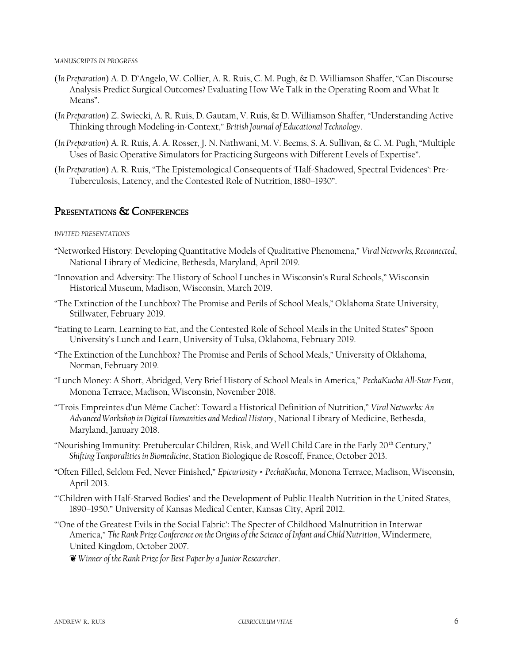*MANUSCRIPTS IN PROGRESS*

- (*In Preparation*) A. D. D'Angelo, W. Collier, A. R. Ruis, C. M. Pugh, & D. Williamson Shaffer, "Can Discourse Analysis Predict Surgical Outcomes? Evaluating How We Talk in the Operating Room and What It Means".
- (*In Preparation*) Z. Swiecki, A. R. Ruis, D. Gautam, V. Ruis, & D. Williamson Shaffer, "Understanding Active Thinking through Modeling-in-Context," *British Journal of Educational Technology*.
- (*In Preparation*) A. R. Ruis, A. A. Rosser, J. N. Nathwani, M. V. Beems, S. A. Sullivan, & C. M. Pugh, "Multiple Uses of Basic Operative Simulators for Practicing Surgeons with Different Levels of Expertise".
- (*In Preparation*) A. R. Ruis, "The Epistemological Consequents of 'Half-Shadowed, Spectral Evidences': Pre-Tuberculosis, Latency, and the Contested Role of Nutrition, 1880–1930".

### PRESENTATIONS & CONFERENCES

*INVITED PRESENTATIONS*

- "Networked History: Developing Quantitative Models of Qualitative Phenomena," *Viral Networks, Reconnected*, National Library of Medicine, Bethesda, Maryland, April 2019.
- "Innovation and Adversity: The History of School Lunches in Wisconsin's Rural Schools," Wisconsin Historical Museum, Madison, Wisconsin, March 2019.
- "The Extinction of the Lunchbox? The Promise and Perils of School Meals," Oklahoma State University, Stillwater, February 2019.
- "Eating to Learn, Learning to Eat, and the Contested Role of School Meals in the United States" Spoon University's Lunch and Learn, University of Tulsa, Oklahoma, February 2019.
- "The Extinction of the Lunchbox? The Promise and Perils of School Meals," University of Oklahoma, Norman, February 2019.
- "Lunch Money: A Short, Abridged, Very Brief History of School Meals in America," *PechaKucha All-Star Event*, Monona Terrace, Madison, Wisconsin, November 2018.
- "'Trois Empreintes d'un Même Cachet': Toward a Historical Definition of Nutrition," *Viral Networks: An Advanced Workshop in Digital Humanities and Medical History*, National Library of Medicine, Bethesda, Maryland, January 2018.
- "Nourishing Immunity: Pretubercular Children, Risk, and Well Child Care in the Early 20<sup>th</sup> Century," *Shifting Temporalities in Biomedicine*, Station Biologique de Roscoff, France, October 2013.
- "Often Filled, Seldom Fed, Never Finished," *Epicuriosity* × *PechaKucha*, Monona Terrace, Madison, Wisconsin, April 2013.
- "'Children with Half-Starved Bodies' and the Development of Public Health Nutrition in the United States, 1890–1950," University of Kansas Medical Center, Kansas City, April 2012.
- "'One of the Greatest Evils in the Social Fabric': The Specter of Childhood Malnutrition in Interwar America," *The Rank Prize Conference on the Origins of the Science of Infant and Child Nutrition*, Windermere, United Kingdom, October 2007.

❦ *Winner of the Rank Prize for Best Paper by a Junior Researcher*.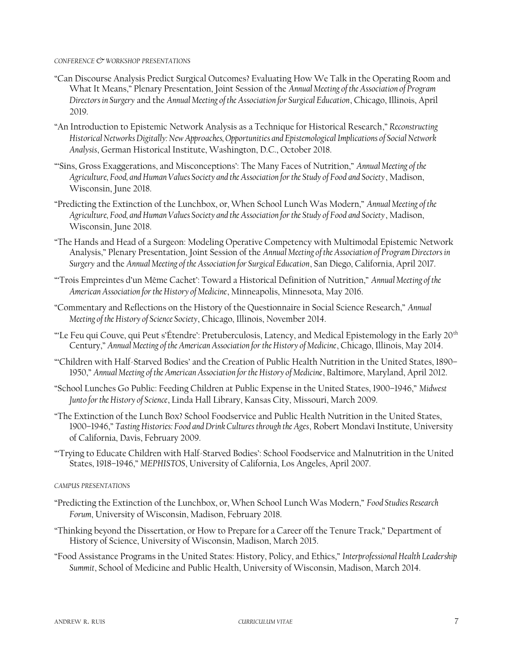#### *CONFERENCE & WORKSHOP PRESENTATIONS*

- "Can Discourse Analysis Predict Surgical Outcomes? Evaluating How We Talk in the Operating Room and What It Means," Plenary Presentation, Joint Session of the *Annual Meeting of the Association of Program Directors in Surgery* and the *Annual Meeting of the Association for Surgical Education*, Chicago, Illinois, April 2019.
- "An Introduction to Epistemic Network Analysis as a Technique for Historical Research," *Reconstructing Historical Networks Digitally: New Approaches, Opportunities and Epistemological Implications of Social Network Analysis*, German Historical Institute, Washington, D.C., October 2018.
- "'Sins, Gross Exaggerations, and Misconceptions': The Many Faces of Nutrition," *Annual Meeting of the Agriculture, Food, and Human Values Society and the Association for the Study of Food and Society*, Madison, Wisconsin, June 2018.
- "Predicting the Extinction of the Lunchbox, or, When School Lunch Was Modern," *Annual Meeting of the Agriculture, Food, and Human Values Society and the Association for the Study of Food and Society*, Madison, Wisconsin, June 2018.
- "The Hands and Head of a Surgeon: Modeling Operative Competency with Multimodal Epistemic Network Analysis," Plenary Presentation, Joint Session of the *Annual Meeting of the Association of Program Directors in Surgery* and the *Annual Meeting of the Association for Surgical Education*, San Diego, California, April 2017.
- "'Trois Empreintes d'un Même Cachet': Toward a Historical Definition of Nutrition," *Annual Meeting of the American Association for the History of Medicine*, Minneapolis, Minnesota, May 2016.
- "Commentary and Reflections on the History of the Questionnaire in Social Science Research," *Annual Meeting of the History of Science Society*, Chicago, Illinois, November 2014.
- "Le Feu qui Couve, qui Peut s'Étendre': Pretuberculosis, Latency, and Medical Epistemology in the Early 20<sup>th</sup> Century," *Annual Meeting of the American Association for the History of Medicine*, Chicago, Illinois, May 2014.
- "'Children with Half-Starved Bodies' and the Creation of Public Health Nutrition in the United States, 1890– 1950," *Annual Meeting of the American Association for the History of Medicine*, Baltimore, Maryland, April 2012.
- "School Lunches Go Public: Feeding Children at Public Expense in the United States, 1900–1946," *Midwest Junto for the History of Science*, Linda Hall Library, Kansas City, Missouri, March 2009.
- "The Extinction of the Lunch Box? School Foodservice and Public Health Nutrition in the United States, 1900–1946," *Tasting Histories: Food and Drink Cultures through the Ages*, Robert Mondavi Institute, University of California, Davis, February 2009.
- "'Trying to Educate Children with Half-Starved Bodies': School Foodservice and Malnutrition in the United States, 1918–1946," *MEPHISTOS*, University of California, Los Angeles, April 2007.

### *CAMPUS PRESENTATIONS*

- "Predicting the Extinction of the Lunchbox, or, When School Lunch Was Modern," *Food Studies Research Forum*, University of Wisconsin, Madison, February 2018.
- "Thinking beyond the Dissertation, or How to Prepare for a Career off the Tenure Track," Department of History of Science, University of Wisconsin, Madison, March 2015.
- "Food Assistance Programs in the United States: History, Policy, and Ethics," *Interprofessional Health Leadership Summit*, School of Medicine and Public Health, University of Wisconsin, Madison, March 2014.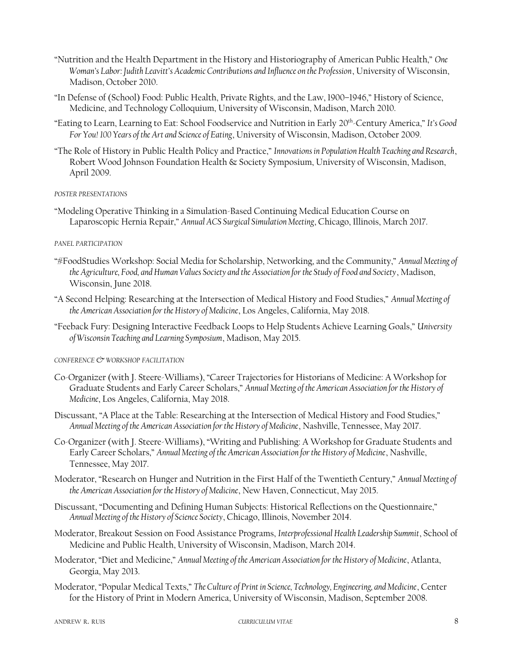- "Nutrition and the Health Department in the History and Historiography of American Public Health," *One Woman's Labor: Judith Leavitt's Academic Contributions and Influence on the Profession*, University of Wisconsin, Madison, October 2010.
- "In Defense of (School) Food: Public Health, Private Rights, and the Law, 1900–1946," History of Science, Medicine, and Technology Colloquium, University of Wisconsin, Madison, March 2010.
- "Eating to Learn, Learning to Eat: School Foodservice and Nutrition in Early 20th-Century America," *It's Good For You! 100 Years of the Art and Science of Eating*, University of Wisconsin, Madison, October 2009.
- "The Role of History in Public Health Policy and Practice," *Innovations in Population Health Teaching and Research*, Robert Wood Johnson Foundation Health & Society Symposium, University of Wisconsin, Madison, April 2009.

### *POSTER PRESENTATIONS*

"Modeling Operative Thinking in a Simulation-Based Continuing Medical Education Course on Laparoscopic Hernia Repair," *Annual ACS Surgical Simulation Meeting*, Chicago, Illinois, March 2017.

### *PANEL PARTICIPATION*

- "#FoodStudies Workshop: Social Media for Scholarship, Networking, and the Community," *Annual Meeting of the Agriculture, Food, and Human Values Society and the Association for the Study of Food and Society*, Madison, Wisconsin, June 2018.
- "A Second Helping: Researching at the Intersection of Medical History and Food Studies," *Annual Meeting of the American Association for the History of Medicine*, Los Angeles, California, May 2018.
- "Feeback Fury: Designing Interactive Feedback Loops to Help Students Achieve Learning Goals," *University of Wisconsin Teaching and Learning Symposium*, Madison, May 2015.

### *CONFERENCE & WORKSHOP FACILITATION*

- Co-Organizer (with J. Steere-Williams), "Career Trajectories for Historians of Medicine: A Workshop for Graduate Students and Early Career Scholars," *Annual Meeting of the American Association for the History of Medicine*, Los Angeles, California, May 2018.
- Discussant, "A Place at the Table: Researching at the Intersection of Medical History and Food Studies," *Annual Meeting of the American Association for the History of Medicine*, Nashville, Tennessee, May 2017.
- Co-Organizer (with J. Steere-Williams), "Writing and Publishing: A Workshop for Graduate Students and Early Career Scholars," *Annual Meeting of the American Association for the History of Medicine*, Nashville, Tennessee, May 2017.
- Moderator, "Research on Hunger and Nutrition in the First Half of the Twentieth Century," *Annual Meeting of the American Association for the History of Medicine*, New Haven, Connecticut, May 2015.
- Discussant, "Documenting and Defining Human Subjects: Historical Reflections on the Questionnaire," *Annual Meeting of the History of Science Society*, Chicago, Illinois, November 2014.
- Moderator, Breakout Session on Food Assistance Programs, *Interprofessional Health Leadership Summit*, School of Medicine and Public Health, University of Wisconsin, Madison, March 2014.
- Moderator, "Diet and Medicine," *Annual Meeting of the American Association for the History of Medicine*, Atlanta, Georgia, May 2013.
- Moderator, "Popular Medical Texts," *The Culture of Print in Science, Technology, Engineering, and Medicine*, Center for the History of Print in Modern America, University of Wisconsin, Madison, September 2008.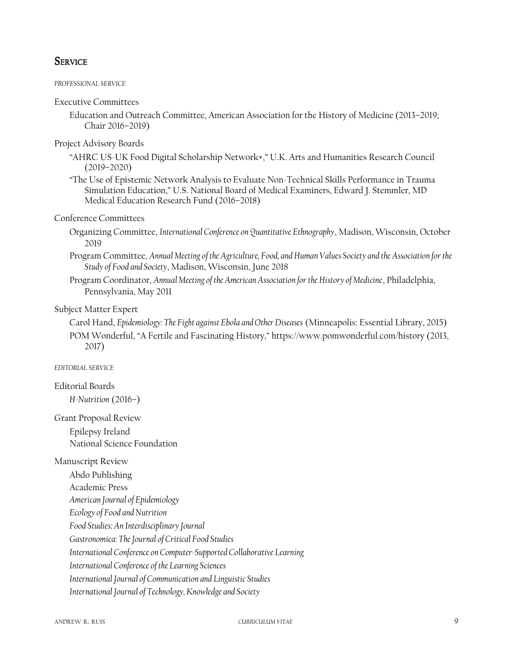### **SERVICE**

### *PROFESSIONAL SERVICE*

### Executive Committees

Education and Outreach Committee, American Association for the History of Medicine (2013–2019; Chair 2016–2019)

### Project Advisory Boards

- "AHRC US-UK Food Digital Scholarship Network+," U.K. Arts and Humanities Research Council (2019–2020)
- "The Use of Epistemic Network Analysis to Evaluate Non-Technical Skills Performance in Trauma Simulation Education," U.S. National Board of Medical Examiners, Edward J. Stemmler, MD Medical Education Research Fund (2016–2018)

### Conference Committees

- Organizing Committee, *International Conference on Quantitative Ethnography*, Madison, Wisconsin, October 2019
- Program Committee, *Annual Meeting of the Agriculture, Food, and Human Values Society and the Association for the Study of Food and Society*, Madison, Wisconsin, June 2018
- Program Coordinator, *Annual Meeting of the American Association for the History of Medicine*, Philadelphia, Pennsylvania, May 2011

### Subject Matter Expert

Carol Hand, *Epidemiology: The Fight against Ebola and Other Diseases* (Minneapolis: Essential Library, 2015) POM Wonderful, "A Fertile and Fascinating History," https://www.pomwonderful.com/history (2013, 2017)

### *EDITORIAL SERVICE*

### Editorial Boards

*H-Nutrition* (2016–)

### Grant Proposal Review Epilepsy Ireland

National Science Foundation

### Manuscript Review

Abdo Publishing

Academic Press

*American Journal of Epidemiology*

*Ecology of Food and Nutrition*

*Food Studies: An Interdisciplinary Journal*

*Gastronomica: The Journal of Critical Food Studies*

*International Conference on Computer-Supported Collaborative Learning*

*International Conference of the Learning Sciences*

*International Journal of Communication and Linguistic Studies*

*International Journal of Technology, Knowledge and Society*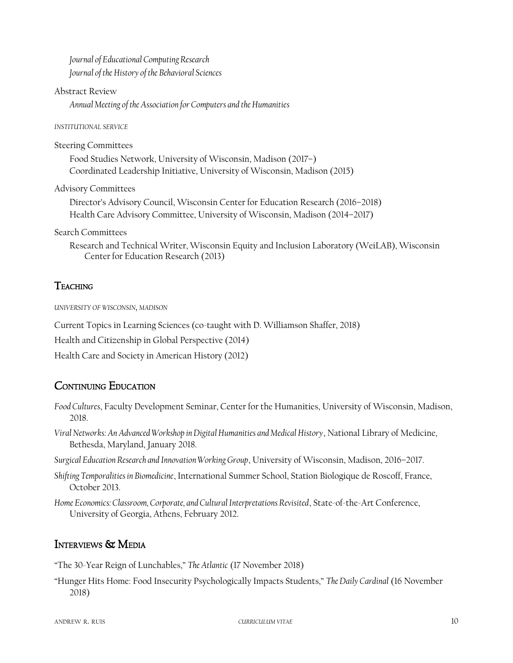*Journal of Educational Computing Research Journal of the History of the Behavioral Sciences*

### Abstract Review

*Annual Meeting of the Association for Computers and the Humanities*

### *INSTITUTIONAL SERVICE*

### Steering Committees

Food Studies Network, University of Wisconsin, Madison (2017–) Coordinated Leadership Initiative, University of Wisconsin, Madison (2015)

Advisory Committees

Director's Advisory Council, Wisconsin Center for Education Research (2016–2018) Health Care Advisory Committee, University of Wisconsin, Madison (2014–2017)

Search Committees

Research and Technical Writer, Wisconsin Equity and Inclusion Laboratory (WeiLAB), Wisconsin Center for Education Research (2013)

# **TEACHING**

*UNIVERSITY OF WISCONSIN, MADISON*

Current Topics in Learning Sciences (co-taught with D. Williamson Shaffer, 2018)

Health and Citizenship in Global Perspective (2014)

Health Care and Society in American History (2012)

# CONTINUING EDUCATION

- *Food Cultures*, Faculty Development Seminar, Center for the Humanities, University of Wisconsin, Madison, 2018.
- *Viral Networks: An Advanced Workshop in Digital Humanities and Medical History*, National Library of Medicine, Bethesda, Maryland, January 2018.
- *Surgical Education Research and Innovation Working Group*, University of Wisconsin, Madison, 2016–2017.
- *Shifting Temporalities in Biomedicine*, International Summer School, Station Biologique de Roscoff, France, October 2013.
- *Home Economics: Classroom, Corporate, and Cultural Interpretations Revisited*, State-of-the-Art Conference, University of Georgia, Athens, February 2012.

# INTERVIEWS & MEDIA

"The 30-Year Reign of Lunchables," *The Atlantic* (17 November 2018)

"Hunger Hits Home: Food Insecurity Psychologically Impacts Students," *The Daily Cardinal* (16 November 2018)